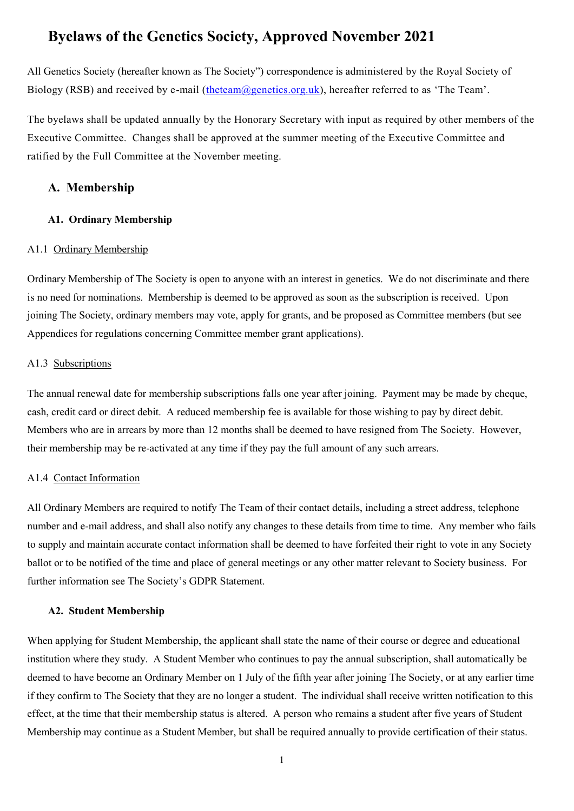# **Byelaws of the Genetics Society, Approved November 2021**

All Genetics Society (hereafter known as The Society") correspondence is administered by the Royal Society of Biology (RSB) and received by e-mail [\(theteam@genetics.org.uk\)](mailto:theteam@genetics.org.uk), hereafter referred to as 'The Team'.

The byelaws shall be updated annually by the Honorary Secretary with input as required by other members of the Executive Committee. Changes shall be approved at the summer meeting of the Executive Committee and ratified by the Full Committee at the November meeting.

# **A. Membership**

## **A1. Ordinary Membership**

#### A1.1 Ordinary Membership

Ordinary Membership of The Society is open to anyone with an interest in genetics. We do not discriminate and there is no need for nominations. Membership is deemed to be approved as soon as the subscription is received. Upon joining The Society, ordinary members may vote, apply for grants, and be proposed as Committee members (but see Appendices for regulations concerning Committee member grant applications).

# A1.3 Subscriptions

The annual renewal date for membership subscriptions falls one year after joining. Payment may be made by cheque, cash, credit card or direct debit. A reduced membership fee is available for those wishing to pay by direct debit. Members who are in arrears by more than 12 months shall be deemed to have resigned from The Society. However, their membership may be re-activated at any time if they pay the full amount of any such arrears.

# A1.4 Contact Information

All Ordinary Members are required to notify The Team of their contact details, including a street address, telephone number and e-mail address, and shall also notify any changes to these details from time to time. Any member who fails to supply and maintain accurate contact information shall be deemed to have forfeited their right to vote in any Society ballot or to be notified of the time and place of general meetings or any other matter relevant to Society business. For further information see The Society's GDPR Statement.

#### **A2. Student Membership**

When applying for Student Membership, the applicant shall state the name of their course or degree and educational institution where they study. A Student Member who continues to pay the annual subscription, shall automatically be deemed to have become an Ordinary Member on 1 July of the fifth year after joining The Society, or at any earlier time if they confirm to The Society that they are no longer a student. The individual shall receive written notification to this effect, at the time that their membership status is altered. A person who remains a student after five years of Student Membership may continue as a Student Member, but shall be required annually to provide certification of their status.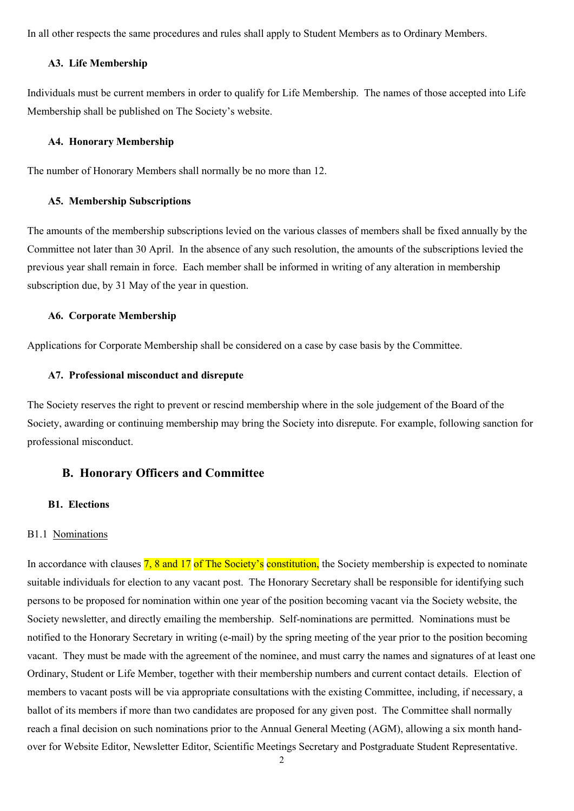In all other respects the same procedures and rules shall apply to Student Members as to Ordinary Members.

#### **A3. Life Membership**

Individuals must be current members in order to qualify for Life Membership. The names of those accepted into Life Membership shall be published on The Society's website.

## **A4. Honorary Membership**

The number of Honorary Members shall normally be no more than 12.

### **A5. Membership Subscriptions**

The amounts of the membership subscriptions levied on the various classes of members shall be fixed annually by the Committee not later than 30 April. In the absence of any such resolution, the amounts of the subscriptions levied the previous year shall remain in force. Each member shall be informed in writing of any alteration in membership subscription due, by 31 May of the year in question.

#### **A6. Corporate Membership**

Applications for Corporate Membership shall be considered on a case by case basis by the Committee.

#### **A7. Professional misconduct and disrepute**

The Society reserves the right to prevent or rescind membership where in the sole judgement of the Board of the Society, awarding or continuing membership may bring the Society into disrepute. For example, following sanction for professional misconduct.

# **B. Honorary Officers and Committee**

#### **B1. Elections**

#### B1.1 Nominations

In accordance with clauses 7, 8 and 17 of The Society's constitution, the Society membership is expected to nominate suitable individuals for election to any vacant post. The Honorary Secretary shall be responsible for identifying such persons to be proposed for nomination within one year of the position becoming vacant via the Society website, the Society newsletter, and directly emailing the membership. Self-nominations are permitted. Nominations must be notified to the Honorary Secretary in writing (e-mail) by the spring meeting of the year prior to the position becoming vacant. They must be made with the agreement of the nominee, and must carry the names and signatures of at least one Ordinary, Student or Life Member, together with their membership numbers and current contact details. Election of members to vacant posts will be via appropriate consultations with the existing Committee, including, if necessary, a ballot of its members if more than two candidates are proposed for any given post. The Committee shall normally reach a final decision on such nominations prior to the Annual General Meeting (AGM), allowing a six month handover for Website Editor, Newsletter Editor, Scientific Meetings Secretary and Postgraduate Student Representative.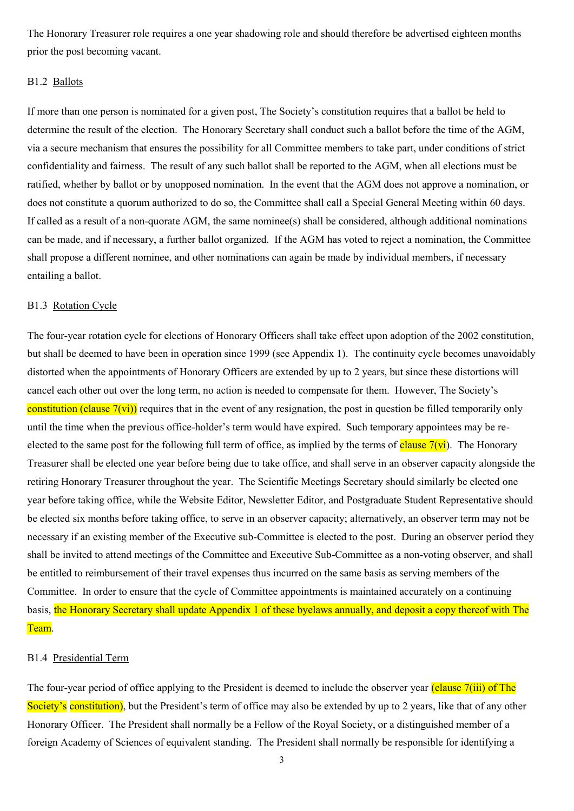The Honorary Treasurer role requires a one year shadowing role and should therefore be advertised eighteen months prior the post becoming vacant.

# B1.2 Ballots

If more than one person is nominated for a given post, The Society's constitution requires that a ballot be held to determine the result of the election. The Honorary Secretary shall conduct such a ballot before the time of the AGM, via a secure mechanism that ensures the possibility for all Committee members to take part, under conditions of strict confidentiality and fairness. The result of any such ballot shall be reported to the AGM, when all elections must be ratified, whether by ballot or by unopposed nomination. In the event that the AGM does not approve a nomination, or does not constitute a quorum authorized to do so, the Committee shall call a Special General Meeting within 60 days. If called as a result of a non-quorate AGM, the same nominee(s) shall be considered, although additional nominations can be made, and if necessary, a further ballot organized. If the AGM has voted to reject a nomination, the Committee shall propose a different nominee, and other nominations can again be made by individual members, if necessary entailing a ballot.

#### B1.3 Rotation Cycle

The four-year rotation cycle for elections of Honorary Officers shall take effect upon adoption of the 2002 constitution, but shall be deemed to have been in operation since 1999 (see Appendix 1). The continuity cycle becomes unavoidably distorted when the appointments of Honorary Officers are extended by up to 2 years, but since these distortions will cancel each other out over the long term, no action is needed to compensate for them. However, The Society's constitution (clause  $7(vi)$ ) requires that in the event of any resignation, the post in question be filled temporarily only until the time when the previous office-holder's term would have expired. Such temporary appointees may be reelected to the same post for the following full term of office, as implied by the terms of clause  $7(vi)$ . The Honorary Treasurer shall be elected one year before being due to take office, and shall serve in an observer capacity alongside the retiring Honorary Treasurer throughout the year. The Scientific Meetings Secretary should similarly be elected one year before taking office, while the Website Editor, Newsletter Editor, and Postgraduate Student Representative should be elected six months before taking office, to serve in an observer capacity; alternatively, an observer term may not be necessary if an existing member of the Executive sub-Committee is elected to the post. During an observer period they shall be invited to attend meetings of the Committee and Executive Sub-Committee as a non-voting observer, and shall be entitled to reimbursement of their travel expenses thus incurred on the same basis as serving members of the Committee. In order to ensure that the cycle of Committee appointments is maintained accurately on a continuing basis, the Honorary Secretary shall update Appendix 1 of these byelaws annually, and deposit a copy thereof with The Team.

# B1.4 Presidential Term

The four-year period of office applying to the President is deemed to include the observer year (clause 7(iii) of The Society's constitution), but the President's term of office may also be extended by up to 2 years, like that of any other Honorary Officer. The President shall normally be a Fellow of the Royal Society, or a distinguished member of a foreign Academy of Sciences of equivalent standing. The President shall normally be responsible for identifying a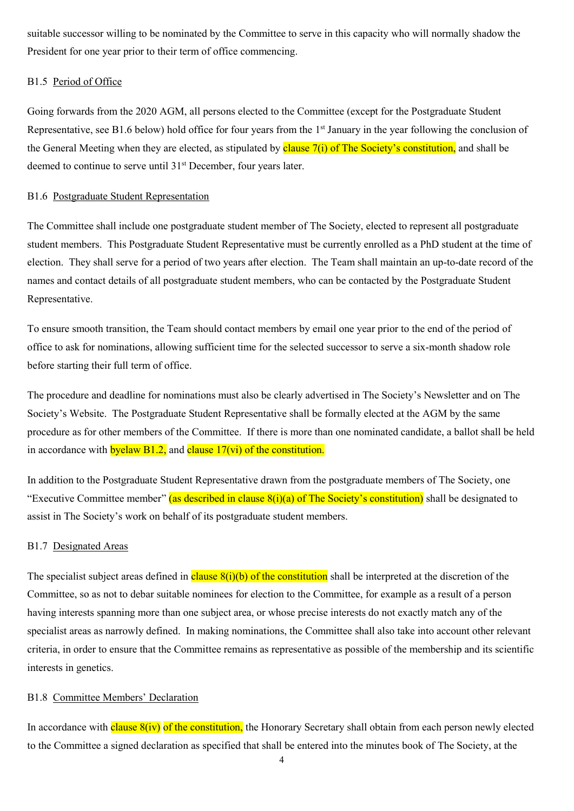suitable successor willing to be nominated by the Committee to serve in this capacity who will normally shadow the President for one year prior to their term of office commencing.

# B1.5 Period of Office

Going forwards from the 2020 AGM, all persons elected to the Committee (except for the Postgraduate Student Representative, see B1.6 below) hold office for four years from the 1<sup>st</sup> January in the year following the conclusion of the General Meeting when they are elected, as stipulated by clause  $7(i)$  of The Society's constitution, and shall be deemed to continue to serve until 31<sup>st</sup> December, four years later.

# B1.6 Postgraduate Student Representation

The Committee shall include one postgraduate student member of The Society, elected to represent all postgraduate student members. This Postgraduate Student Representative must be currently enrolled as a PhD student at the time of election. They shall serve for a period of two years after election. The Team shall maintain an up-to-date record of the names and contact details of all postgraduate student members, who can be contacted by the Postgraduate Student Representative.

To ensure smooth transition, the Team should contact members by email one year prior to the end of the period of office to ask for nominations, allowing sufficient time for the selected successor to serve a six-month shadow role before starting their full term of office.

The procedure and deadline for nominations must also be clearly advertised in The Society's Newsletter and on The Society's Website. The Postgraduate Student Representative shall be formally elected at the AGM by the same procedure as for other members of the Committee. If there is more than one nominated candidate, a ballot shall be held in accordance with **byelaw B1.2**, and **clause 17(vi)** of the constitution.

In addition to the Postgraduate Student Representative drawn from the postgraduate members of The Society, one "Executive Committee member" (as described in clause  $8(i)(a)$  of The Society's constitution) shall be designated to assist in The Society's work on behalf of its postgraduate student members.

#### B1.7 Designated Areas

The specialist subject areas defined in clause  $8(i)(b)$  of the constitution shall be interpreted at the discretion of the Committee, so as not to debar suitable nominees for election to the Committee, for example as a result of a person having interests spanning more than one subject area, or whose precise interests do not exactly match any of the specialist areas as narrowly defined. In making nominations, the Committee shall also take into account other relevant criteria, in order to ensure that the Committee remains as representative as possible of the membership and its scientific interests in genetics.

#### B1.8 Committee Members' Declaration

In accordance with **clause**  $8(iv)$  of the constitution, the Honorary Secretary shall obtain from each person newly elected to the Committee a signed declaration as specified that shall be entered into the minutes book of The Society, at the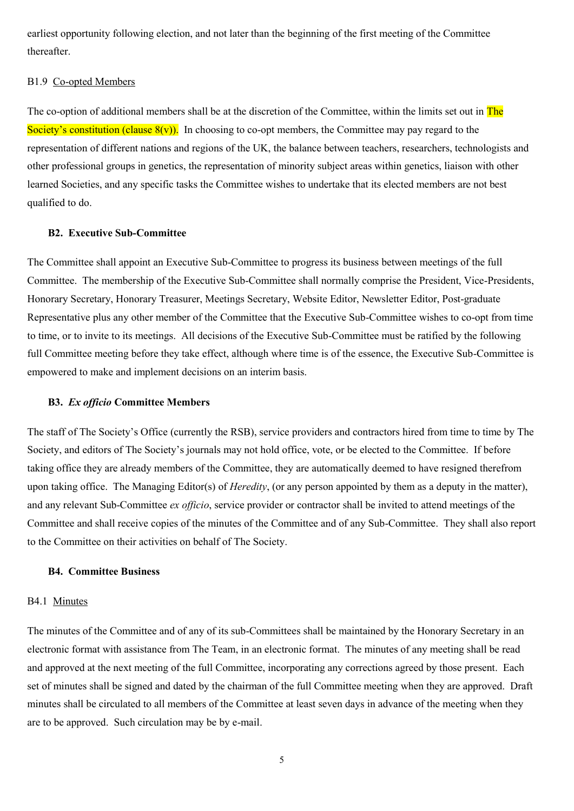earliest opportunity following election, and not later than the beginning of the first meeting of the Committee thereafter.

# B1.9 Co-opted Members

The co-option of additional members shall be at the discretion of the Committee, within the limits set out in The Society's constitution (clause  $8(y)$ ). In choosing to co-opt members, the Committee may pay regard to the representation of different nations and regions of the UK, the balance between teachers, researchers, technologists and other professional groups in genetics, the representation of minority subject areas within genetics, liaison with other learned Societies, and any specific tasks the Committee wishes to undertake that its elected members are not best qualified to do.

#### **B2. Executive Sub-Committee**

The Committee shall appoint an Executive Sub-Committee to progress its business between meetings of the full Committee. The membership of the Executive Sub-Committee shall normally comprise the President, Vice-Presidents, Honorary Secretary, Honorary Treasurer, Meetings Secretary, Website Editor, Newsletter Editor, Post-graduate Representative plus any other member of the Committee that the Executive Sub-Committee wishes to co-opt from time to time, or to invite to its meetings. All decisions of the Executive Sub-Committee must be ratified by the following full Committee meeting before they take effect, although where time is of the essence, the Executive Sub-Committee is empowered to make and implement decisions on an interim basis.

#### **B3.** *Ex officio* **Committee Members**

The staff of The Society's Office (currently the RSB), service providers and contractors hired from time to time by The Society, and editors of The Society's journals may not hold office, vote, or be elected to the Committee. If before taking office they are already members of the Committee, they are automatically deemed to have resigned therefrom upon taking office. The Managing Editor(s) of *Heredity*, (or any person appointed by them as a deputy in the matter), and any relevant Sub-Committee *ex officio*, service provider or contractor shall be invited to attend meetings of the Committee and shall receive copies of the minutes of the Committee and of any Sub-Committee. They shall also report to the Committee on their activities on behalf of The Society.

#### **B4. Committee Business**

#### B4.1 Minutes

The minutes of the Committee and of any of its sub-Committees shall be maintained by the Honorary Secretary in an electronic format with assistance from The Team, in an electronic format. The minutes of any meeting shall be read and approved at the next meeting of the full Committee, incorporating any corrections agreed by those present. Each set of minutes shall be signed and dated by the chairman of the full Committee meeting when they are approved. Draft minutes shall be circulated to all members of the Committee at least seven days in advance of the meeting when they are to be approved. Such circulation may be by e-mail.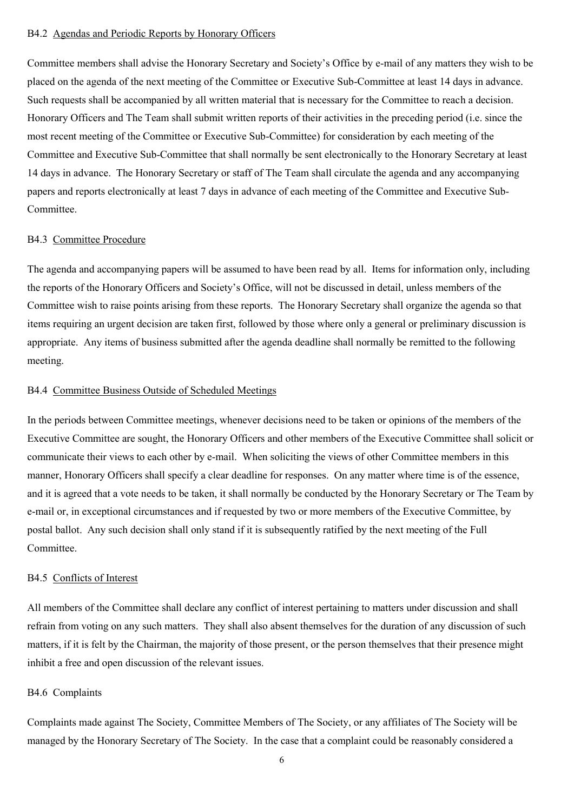## B4.2 Agendas and Periodic Reports by Honorary Officers

Committee members shall advise the Honorary Secretary and Society's Office by e-mail of any matters they wish to be placed on the agenda of the next meeting of the Committee or Executive Sub-Committee at least 14 days in advance. Such requests shall be accompanied by all written material that is necessary for the Committee to reach a decision. Honorary Officers and The Team shall submit written reports of their activities in the preceding period (i.e. since the most recent meeting of the Committee or Executive Sub-Committee) for consideration by each meeting of the Committee and Executive Sub-Committee that shall normally be sent electronically to the Honorary Secretary at least 14 days in advance. The Honorary Secretary or staff of The Team shall circulate the agenda and any accompanying papers and reports electronically at least 7 days in advance of each meeting of the Committee and Executive Sub-Committee.

# B4.3 Committee Procedure

The agenda and accompanying papers will be assumed to have been read by all. Items for information only, including the reports of the Honorary Officers and Society's Office, will not be discussed in detail, unless members of the Committee wish to raise points arising from these reports. The Honorary Secretary shall organize the agenda so that items requiring an urgent decision are taken first, followed by those where only a general or preliminary discussion is appropriate. Any items of business submitted after the agenda deadline shall normally be remitted to the following meeting.

# B4.4 Committee Business Outside of Scheduled Meetings

In the periods between Committee meetings, whenever decisions need to be taken or opinions of the members of the Executive Committee are sought, the Honorary Officers and other members of the Executive Committee shall solicit or communicate their views to each other by e-mail. When soliciting the views of other Committee members in this manner, Honorary Officers shall specify a clear deadline for responses. On any matter where time is of the essence, and it is agreed that a vote needs to be taken, it shall normally be conducted by the Honorary Secretary or The Team by e-mail or, in exceptional circumstances and if requested by two or more members of the Executive Committee, by postal ballot. Any such decision shall only stand if it is subsequently ratified by the next meeting of the Full Committee.

# B4.5 Conflicts of Interest

All members of the Committee shall declare any conflict of interest pertaining to matters under discussion and shall refrain from voting on any such matters. They shall also absent themselves for the duration of any discussion of such matters, if it is felt by the Chairman, the majority of those present, or the person themselves that their presence might inhibit a free and open discussion of the relevant issues.

# B4.6 Complaints

Complaints made against The Society, Committee Members of The Society, or any affiliates of The Society will be managed by the Honorary Secretary of The Society. In the case that a complaint could be reasonably considered a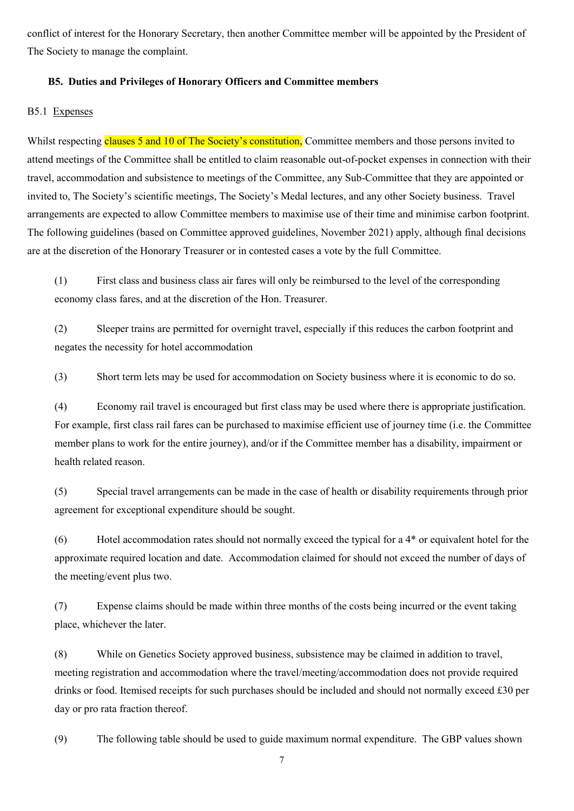conflict of interest for the Honorary Secretary, then another Committee member will be appointed by the President of The Society to manage the complaint.

# **B5. Duties and Privileges of Honorary Officers and Committee members**

# B5.1 Expenses

Whilst respecting clauses 5 and 10 of The Society's constitution, Committee members and those persons invited to attend meetings of the Committee shall be entitled to claim reasonable out-of-pocket expenses in connection with their travel, accommodation and subsistence to meetings of the Committee, any Sub-Committee that they are appointed or invited to, The Society's scientific meetings, The Society's Medal lectures, and any other Society business. Travel arrangements are expected to allow Committee members to maximise use of their time and minimise carbon footprint. The following guidelines (based on Committee approved guidelines, November 2021) apply, although final decisions are at the discretion of the Honorary Treasurer or in contested cases a vote by the full Committee.

(1) First class and business class air fares will only be reimbursed to the level of the corresponding economy class fares, and at the discretion of the Hon. Treasurer.

(2) Sleeper trains are permitted for overnight travel, especially if this reduces the carbon footprint and negates the necessity for hotel accommodation

(3) Short term lets may be used for accommodation on Society business where it is economic to do so.

(4) Economy rail travel is encouraged but first class may be used where there is appropriate justification. For example, first class rail fares can be purchased to maximise efficient use of journey time (i.e. the Committee member plans to work for the entire journey), and/or if the Committee member has a disability, impairment or health related reason.

(5) Special travel arrangements can be made in the case of health or disability requirements through prior agreement for exceptional expenditure should be sought.

(6) Hotel accommodation rates should not normally exceed the typical for a 4\* or equivalent hotel for the approximate required location and date. Accommodation claimed for should not exceed the number of days of the meeting/event plus two.

(7) Expense claims should be made within three months of the costs being incurred or the event taking place, whichever the later.

(8) While on Genetics Society approved business, subsistence may be claimed in addition to travel, meeting registration and accommodation where the travel/meeting/accommodation does not provide required drinks or food. Itemised receipts for such purchases should be included and should not normally exceed £30 per day or pro rata fraction thereof.

(9) The following table should be used to guide maximum normal expenditure. The GBP values shown

7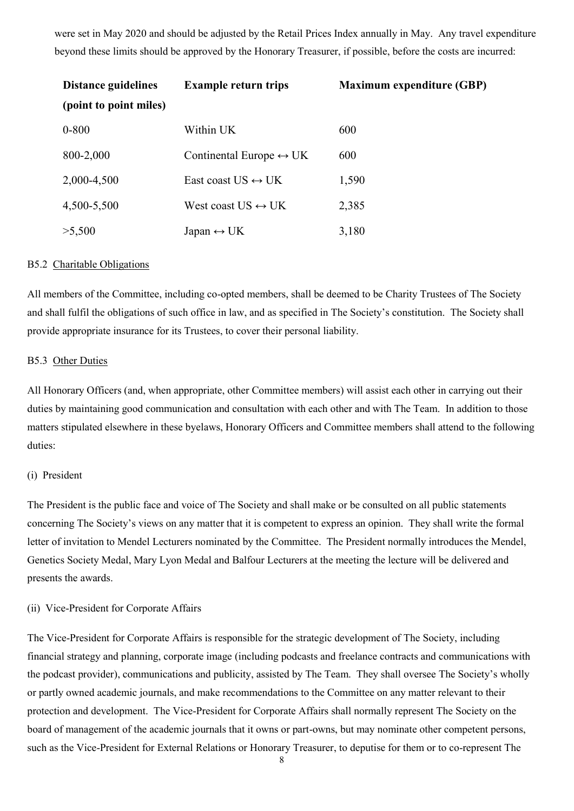were set in May 2020 and should be adjusted by the Retail Prices Index annually in May. Any travel expenditure beyond these limits should be approved by the Honorary Treasurer, if possible, before the costs are incurred:

| <b>Distance guidelines</b> | <b>Example return trips</b>             | <b>Maximum expenditure (GBP)</b> |  |
|----------------------------|-----------------------------------------|----------------------------------|--|
| (point to point miles)     |                                         |                                  |  |
| $0 - 800$                  | Within UK                               | 600                              |  |
| 800-2,000                  | Continental Europe $\leftrightarrow$ UK | 600                              |  |
| 2,000-4,500                | East coast US $\leftrightarrow$ UK      | 1,590                            |  |
| 4,500-5,500                | West coast $US \leftrightarrow UK$      | 2,385                            |  |
| >5,500                     | Japan $\leftrightarrow$ UK              | 3,180                            |  |

### B5.2 Charitable Obligations

All members of the Committee, including co-opted members, shall be deemed to be Charity Trustees of The Society and shall fulfil the obligations of such office in law, and as specified in The Society's constitution. The Society shall provide appropriate insurance for its Trustees, to cover their personal liability.

## B5.3 Other Duties

All Honorary Officers (and, when appropriate, other Committee members) will assist each other in carrying out their duties by maintaining good communication and consultation with each other and with The Team. In addition to those matters stipulated elsewhere in these byelaws, Honorary Officers and Committee members shall attend to the following duties:

#### (i) President

The President is the public face and voice of The Society and shall make or be consulted on all public statements concerning The Society's views on any matter that it is competent to express an opinion. They shall write the formal letter of invitation to Mendel Lecturers nominated by the Committee. The President normally introduces the Mendel, Genetics Society Medal, Mary Lyon Medal and Balfour Lecturers at the meeting the lecture will be delivered and presents the awards.

#### (ii) Vice-President for Corporate Affairs

The Vice-President for Corporate Affairs is responsible for the strategic development of The Society, including financial strategy and planning, corporate image (including podcasts and freelance contracts and communications with the podcast provider), communications and publicity, assisted by The Team. They shall oversee The Society's wholly or partly owned academic journals, and make recommendations to the Committee on any matter relevant to their protection and development. The Vice-President for Corporate Affairs shall normally represent The Society on the board of management of the academic journals that it owns or part-owns, but may nominate other competent persons, such as the Vice-President for External Relations or Honorary Treasurer, to deputise for them or to co-represent The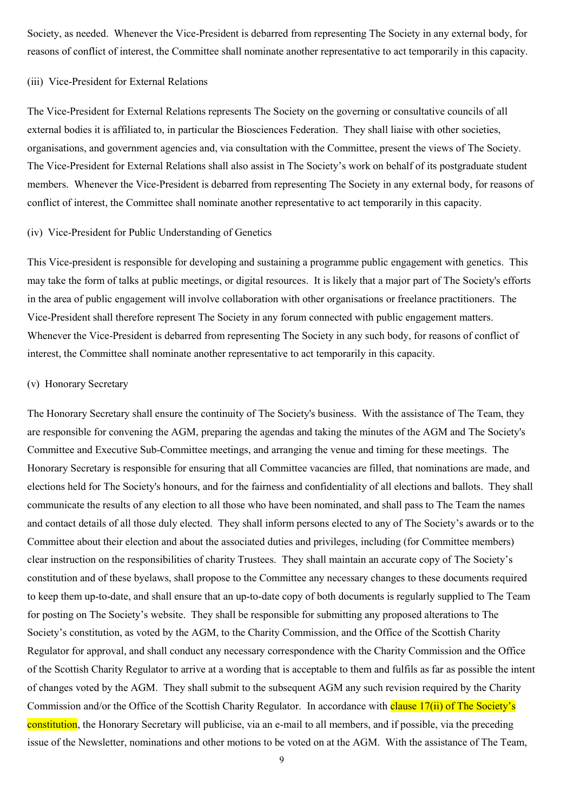Society, as needed. Whenever the Vice-President is debarred from representing The Society in any external body, for reasons of conflict of interest, the Committee shall nominate another representative to act temporarily in this capacity.

# (iii) Vice-President for External Relations

The Vice-President for External Relations represents The Society on the governing or consultative councils of all external bodies it is affiliated to, in particular the Biosciences Federation. They shall liaise with other societies, organisations, and government agencies and, via consultation with the Committee, present the views of The Society. The Vice-President for External Relations shall also assist in The Society's work on behalf of its postgraduate student members. Whenever the Vice-President is debarred from representing The Society in any external body, for reasons of conflict of interest, the Committee shall nominate another representative to act temporarily in this capacity.

#### (iv) Vice-President for Public Understanding of Genetics

This Vice-president is responsible for developing and sustaining a programme public engagement with genetics. This may take the form of talks at public meetings, or digital resources. It is likely that a major part of The Society's efforts in the area of public engagement will involve collaboration with other organisations or freelance practitioners. The Vice-President shall therefore represent The Society in any forum connected with public engagement matters. Whenever the Vice-President is debarred from representing The Society in any such body, for reasons of conflict of interest, the Committee shall nominate another representative to act temporarily in this capacity.

#### (v) Honorary Secretary

The Honorary Secretary shall ensure the continuity of The Society's business. With the assistance of The Team, they are responsible for convening the AGM, preparing the agendas and taking the minutes of the AGM and The Society's Committee and Executive Sub-Committee meetings, and arranging the venue and timing for these meetings. The Honorary Secretary is responsible for ensuring that all Committee vacancies are filled, that nominations are made, and elections held for The Society's honours, and for the fairness and confidentiality of all elections and ballots. They shall communicate the results of any election to all those who have been nominated, and shall pass to The Team the names and contact details of all those duly elected. They shall inform persons elected to any of The Society's awards or to the Committee about their election and about the associated duties and privileges, including (for Committee members) clear instruction on the responsibilities of charity Trustees. They shall maintain an accurate copy of The Society's constitution and of these byelaws, shall propose to the Committee any necessary changes to these documents required to keep them up-to-date, and shall ensure that an up-to-date copy of both documents is regularly supplied to The Team for posting on The Society's website. They shall be responsible for submitting any proposed alterations to The Society's constitution, as voted by the AGM, to the Charity Commission, and the Office of the Scottish Charity Regulator for approval, and shall conduct any necessary correspondence with the Charity Commission and the Office of the Scottish Charity Regulator to arrive at a wording that is acceptable to them and fulfils as far as possible the intent of changes voted by the AGM. They shall submit to the subsequent AGM any such revision required by the Charity Commission and/or the Office of the Scottish Charity Regulator. In accordance with clause 17(ii) of The Society's constitution, the Honorary Secretary will publicise, via an e-mail to all members, and if possible, via the preceding issue of the Newsletter, nominations and other motions to be voted on at the AGM. With the assistance of The Team,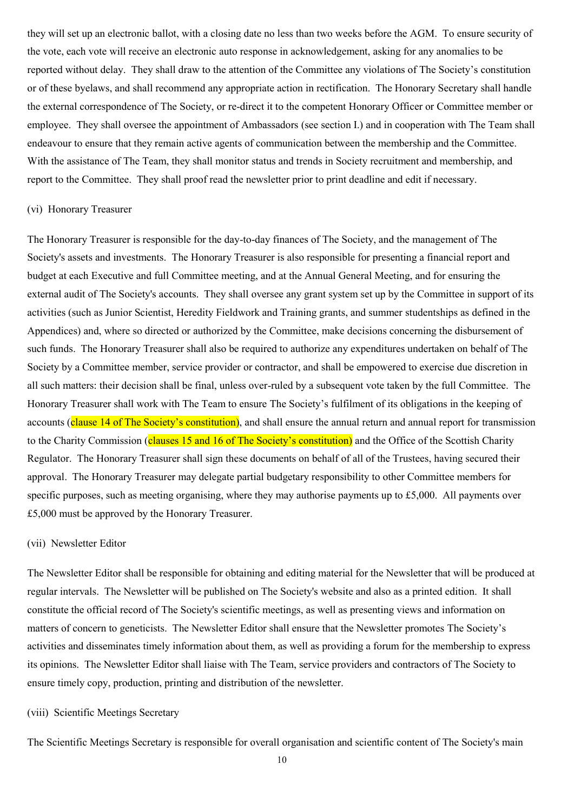they will set up an electronic ballot, with a closing date no less than two weeks before the AGM. To ensure security of the vote, each vote will receive an electronic auto response in acknowledgement, asking for any anomalies to be reported without delay. They shall draw to the attention of the Committee any violations of The Society's constitution or of these byelaws, and shall recommend any appropriate action in rectification. The Honorary Secretary shall handle the external correspondence of The Society, or re-direct it to the competent Honorary Officer or Committee member or employee. They shall oversee the appointment of Ambassadors (see section I.) and in cooperation with The Team shall endeavour to ensure that they remain active agents of communication between the membership and the Committee. With the assistance of The Team, they shall monitor status and trends in Society recruitment and membership, and report to the Committee. They shall proof read the newsletter prior to print deadline and edit if necessary.

#### (vi) Honorary Treasurer

The Honorary Treasurer is responsible for the day-to-day finances of The Society, and the management of The Society's assets and investments. The Honorary Treasurer is also responsible for presenting a financial report and budget at each Executive and full Committee meeting, and at the Annual General Meeting, and for ensuring the external audit of The Society's accounts. They shall oversee any grant system set up by the Committee in support of its activities (such as Junior Scientist, Heredity Fieldwork and Training grants, and summer studentships as defined in the Appendices) and, where so directed or authorized by the Committee, make decisions concerning the disbursement of such funds. The Honorary Treasurer shall also be required to authorize any expenditures undertaken on behalf of The Society by a Committee member, service provider or contractor, and shall be empowered to exercise due discretion in all such matters: their decision shall be final, unless over-ruled by a subsequent vote taken by the full Committee. The Honorary Treasurer shall work with The Team to ensure The Society's fulfilment of its obligations in the keeping of accounts (clause 14 of The Society's constitution), and shall ensure the annual return and annual report for transmission to the Charity Commission (clauses 15 and 16 of The Society's constitution) and the Office of the Scottish Charity Regulator. The Honorary Treasurer shall sign these documents on behalf of all of the Trustees, having secured their approval. The Honorary Treasurer may delegate partial budgetary responsibility to other Committee members for specific purposes, such as meeting organising, where they may authorise payments up to £5,000. All payments over £5,000 must be approved by the Honorary Treasurer.

#### (vii) Newsletter Editor

The Newsletter Editor shall be responsible for obtaining and editing material for the Newsletter that will be produced at regular intervals. The Newsletter will be published on The Society's website and also as a printed edition. It shall constitute the official record of The Society's scientific meetings, as well as presenting views and information on matters of concern to geneticists. The Newsletter Editor shall ensure that the Newsletter promotes The Society's activities and disseminates timely information about them, as well as providing a forum for the membership to express its opinions. The Newsletter Editor shall liaise with The Team, service providers and contractors of The Society to ensure timely copy, production, printing and distribution of the newsletter.

#### (viii) Scientific Meetings Secretary

The Scientific Meetings Secretary is responsible for overall organisation and scientific content of The Society's main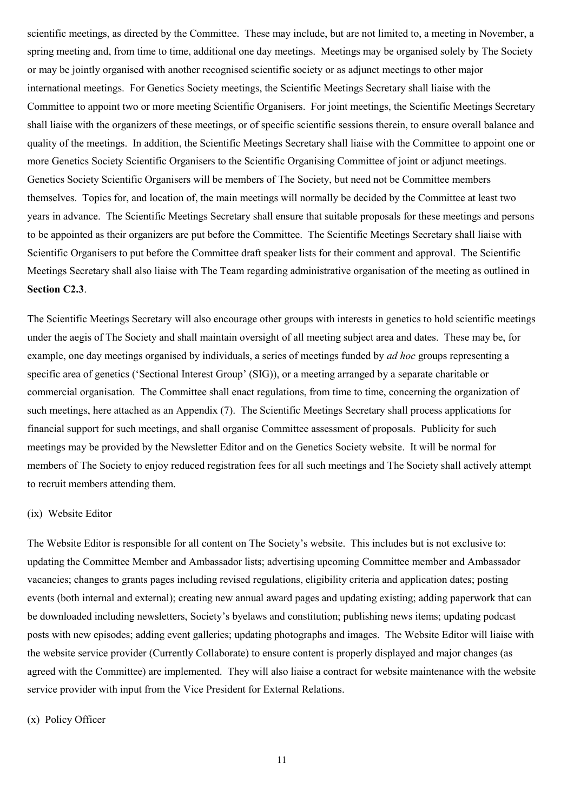scientific meetings, as directed by the Committee. These may include, but are not limited to, a meeting in November, a spring meeting and, from time to time, additional one day meetings. Meetings may be organised solely by The Society or may be jointly organised with another recognised scientific society or as adjunct meetings to other major international meetings. For Genetics Society meetings, the Scientific Meetings Secretary shall liaise with the Committee to appoint two or more meeting Scientific Organisers. For joint meetings, the Scientific Meetings Secretary shall liaise with the organizers of these meetings, or of specific scientific sessions therein, to ensure overall balance and quality of the meetings. In addition, the Scientific Meetings Secretary shall liaise with the Committee to appoint one or more Genetics Society Scientific Organisers to the Scientific Organising Committee of joint or adjunct meetings. Genetics Society Scientific Organisers will be members of The Society, but need not be Committee members themselves. Topics for, and location of, the main meetings will normally be decided by the Committee at least two years in advance. The Scientific Meetings Secretary shall ensure that suitable proposals for these meetings and persons to be appointed as their organizers are put before the Committee. The Scientific Meetings Secretary shall liaise with Scientific Organisers to put before the Committee draft speaker lists for their comment and approval. The Scientific Meetings Secretary shall also liaise with The Team regarding administrative organisation of the meeting as outlined in **Section C2.3**.

The Scientific Meetings Secretary will also encourage other groups with interests in genetics to hold scientific meetings under the aegis of The Society and shall maintain oversight of all meeting subject area and dates. These may be, for example, one day meetings organised by individuals, a series of meetings funded by *ad hoc* groups representing a specific area of genetics ('Sectional Interest Group' (SIG)), or a meeting arranged by a separate charitable or commercial organisation. The Committee shall enact regulations, from time to time, concerning the organization of such meetings, here attached as an Appendix (7). The Scientific Meetings Secretary shall process applications for financial support for such meetings, and shall organise Committee assessment of proposals. Publicity for such meetings may be provided by the Newsletter Editor and on the Genetics Society website. It will be normal for members of The Society to enjoy reduced registration fees for all such meetings and The Society shall actively attempt to recruit members attending them.

#### (ix) Website Editor

The Website Editor is responsible for all content on The Society's website. This includes but is not exclusive to: updating the Committee Member and Ambassador lists; advertising upcoming Committee member and Ambassador vacancies; changes to grants pages including revised regulations, eligibility criteria and application dates; posting events (both internal and external); creating new annual award pages and updating existing; adding paperwork that can be downloaded including newsletters, Society's byelaws and constitution; publishing news items; updating podcast posts with new episodes; adding event galleries; updating photographs and images. The Website Editor will liaise with the website service provider (Currently Collaborate) to ensure content is properly displayed and major changes (as agreed with the Committee) are implemented. They will also liaise a contract for website maintenance with the website service provider with input from the Vice President for External Relations.

#### (x) Policy Officer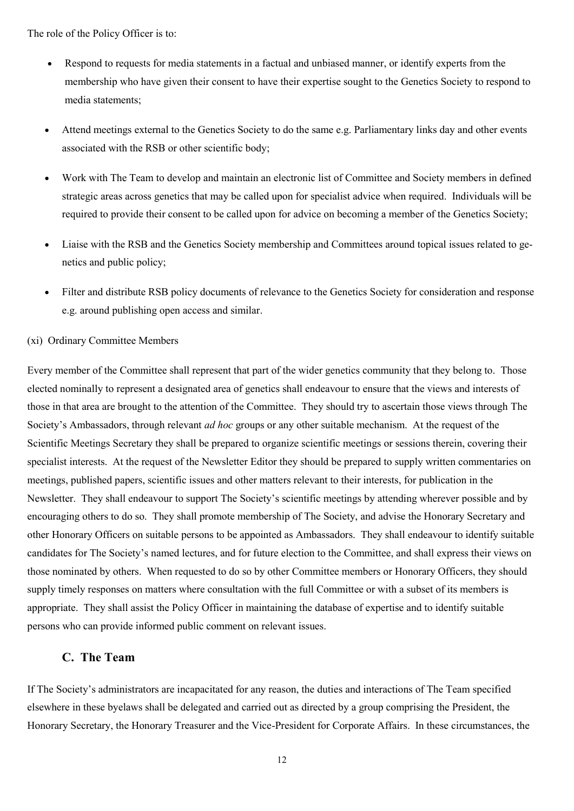The role of the Policy Officer is to:

- Respond to requests for media statements in a factual and unbiased manner, or identify experts from the membership who have given their consent to have their expertise sought to the Genetics Society to respond to media statements;
- Attend meetings external to the Genetics Society to do the same e.g. Parliamentary links day and other events associated with the RSB or other scientific body;
- Work with The Team to develop and maintain an electronic list of Committee and Society members in defined strategic areas across genetics that may be called upon for specialist advice when required. Individuals will be required to provide their consent to be called upon for advice on becoming a member of the Genetics Society;
- Liaise with the RSB and the Genetics Society membership and Committees around topical issues related to genetics and public policy;
- Filter and distribute RSB policy documents of relevance to the Genetics Society for consideration and response e.g. around publishing open access and similar.

#### (xi) Ordinary Committee Members

Every member of the Committee shall represent that part of the wider genetics community that they belong to. Those elected nominally to represent a designated area of genetics shall endeavour to ensure that the views and interests of those in that area are brought to the attention of the Committee. They should try to ascertain those views through The Society's Ambassadors, through relevant *ad hoc* groups or any other suitable mechanism. At the request of the Scientific Meetings Secretary they shall be prepared to organize scientific meetings or sessions therein, covering their specialist interests. At the request of the Newsletter Editor they should be prepared to supply written commentaries on meetings, published papers, scientific issues and other matters relevant to their interests, for publication in the Newsletter. They shall endeavour to support The Society's scientific meetings by attending wherever possible and by encouraging others to do so. They shall promote membership of The Society, and advise the Honorary Secretary and other Honorary Officers on suitable persons to be appointed as Ambassadors. They shall endeavour to identify suitable candidates for The Society's named lectures, and for future election to the Committee, and shall express their views on those nominated by others. When requested to do so by other Committee members or Honorary Officers, they should supply timely responses on matters where consultation with the full Committee or with a subset of its members is appropriate. They shall assist the Policy Officer in maintaining the database of expertise and to identify suitable persons who can provide informed public comment on relevant issues.

# **C. The Team**

If The Society's administrators are incapacitated for any reason, the duties and interactions of The Team specified elsewhere in these byelaws shall be delegated and carried out as directed by a group comprising the President, the Honorary Secretary, the Honorary Treasurer and the Vice-President for Corporate Affairs. In these circumstances, the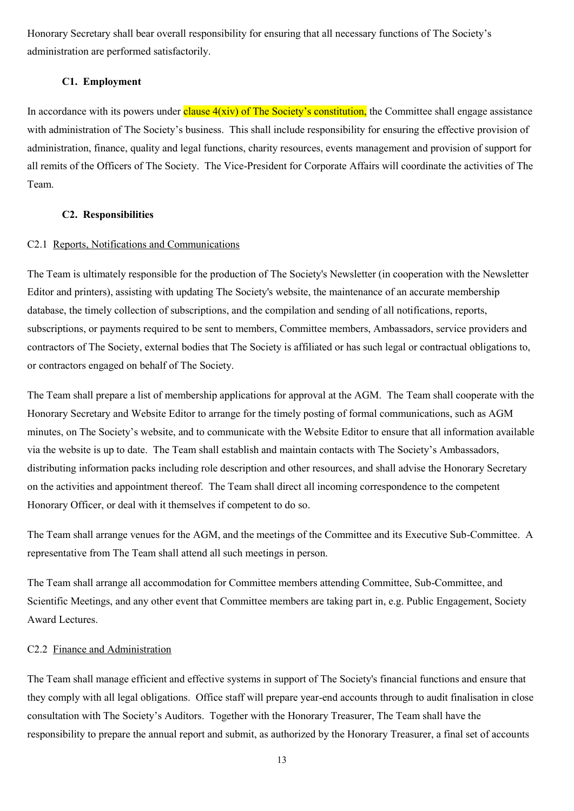Honorary Secretary shall bear overall responsibility for ensuring that all necessary functions of The Society's administration are performed satisfactorily.

# **C1. Employment**

In accordance with its powers under clause  $4(xiv)$  of The Society's constitution, the Committee shall engage assistance with administration of The Society's business. This shall include responsibility for ensuring the effective provision of administration, finance, quality and legal functions, charity resources, events management and provision of support for all remits of the Officers of The Society. The Vice-President for Corporate Affairs will coordinate the activities of The Team.

### **C2. Responsibilities**

# C2.1 Reports, Notifications and Communications

The Team is ultimately responsible for the production of The Society's Newsletter (in cooperation with the Newsletter Editor and printers), assisting with updating The Society's website, the maintenance of an accurate membership database, the timely collection of subscriptions, and the compilation and sending of all notifications, reports, subscriptions, or payments required to be sent to members, Committee members, Ambassadors, service providers and contractors of The Society, external bodies that The Society is affiliated or has such legal or contractual obligations to, or contractors engaged on behalf of The Society.

The Team shall prepare a list of membership applications for approval at the AGM. The Team shall cooperate with the Honorary Secretary and Website Editor to arrange for the timely posting of formal communications, such as AGM minutes, on The Society's website, and to communicate with the Website Editor to ensure that all information available via the website is up to date. The Team shall establish and maintain contacts with The Society's Ambassadors, distributing information packs including role description and other resources, and shall advise the Honorary Secretary on the activities and appointment thereof. The Team shall direct all incoming correspondence to the competent Honorary Officer, or deal with it themselves if competent to do so.

The Team shall arrange venues for the AGM, and the meetings of the Committee and its Executive Sub-Committee. A representative from The Team shall attend all such meetings in person.

The Team shall arrange all accommodation for Committee members attending Committee, Sub-Committee, and Scientific Meetings, and any other event that Committee members are taking part in, e.g. Public Engagement, Society Award Lectures.

# C2.2 Finance and Administration

The Team shall manage efficient and effective systems in support of The Society's financial functions and ensure that they comply with all legal obligations. Office staff will prepare year-end accounts through to audit finalisation in close consultation with The Society's Auditors. Together with the Honorary Treasurer, The Team shall have the responsibility to prepare the annual report and submit, as authorized by the Honorary Treasurer, a final set of accounts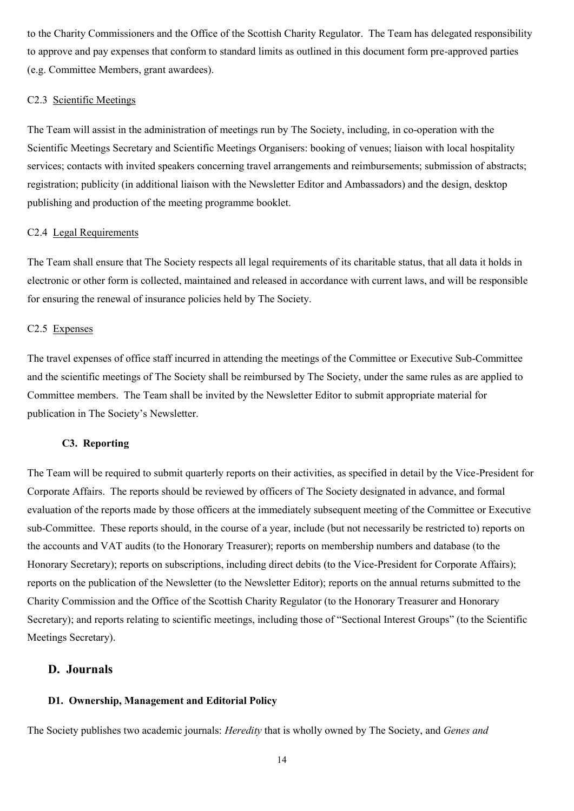to the Charity Commissioners and the Office of the Scottish Charity Regulator.The Team has delegated responsibility to approve and pay expenses that conform to standard limits as outlined in this document form pre-approved parties (e.g. Committee Members, grant awardees).

# C2.3 Scientific Meetings

The Team will assist in the administration of meetings run by The Society, including, in co-operation with the Scientific Meetings Secretary and Scientific Meetings Organisers: booking of venues; liaison with local hospitality services; contacts with invited speakers concerning travel arrangements and reimbursements; submission of abstracts; registration; publicity (in additional liaison with the Newsletter Editor and Ambassadors) and the design, desktop publishing and production of the meeting programme booklet.

#### C2.4 Legal Requirements

The Team shall ensure that The Society respects all legal requirements of its charitable status, that all data it holds in electronic or other form is collected, maintained and released in accordance with current laws, and will be responsible for ensuring the renewal of insurance policies held by The Society.

#### C2.5 Expenses

The travel expenses of office staff incurred in attending the meetings of the Committee or Executive Sub-Committee and the scientific meetings of The Society shall be reimbursed by The Society, under the same rules as are applied to Committee members. The Team shall be invited by the Newsletter Editor to submit appropriate material for publication in The Society's Newsletter.

### **C3. Reporting**

The Team will be required to submit quarterly reports on their activities, as specified in detail by the Vice-President for Corporate Affairs. The reports should be reviewed by officers of The Society designated in advance, and formal evaluation of the reports made by those officers at the immediately subsequent meeting of the Committee or Executive sub-Committee. These reports should, in the course of a year, include (but not necessarily be restricted to) reports on the accounts and VAT audits (to the Honorary Treasurer); reports on membership numbers and database (to the Honorary Secretary); reports on subscriptions, including direct debits (to the Vice-President for Corporate Affairs); reports on the publication of the Newsletter (to the Newsletter Editor); reports on the annual returns submitted to the Charity Commission and the Office of the Scottish Charity Regulator (to the Honorary Treasurer and Honorary Secretary); and reports relating to scientific meetings, including those of "Sectional Interest Groups" (to the Scientific Meetings Secretary).

# **D. Journals**

#### **D1. Ownership, Management and Editorial Policy**

The Society publishes two academic journals: *Heredity* that is wholly owned by The Society, and *Genes and* 

14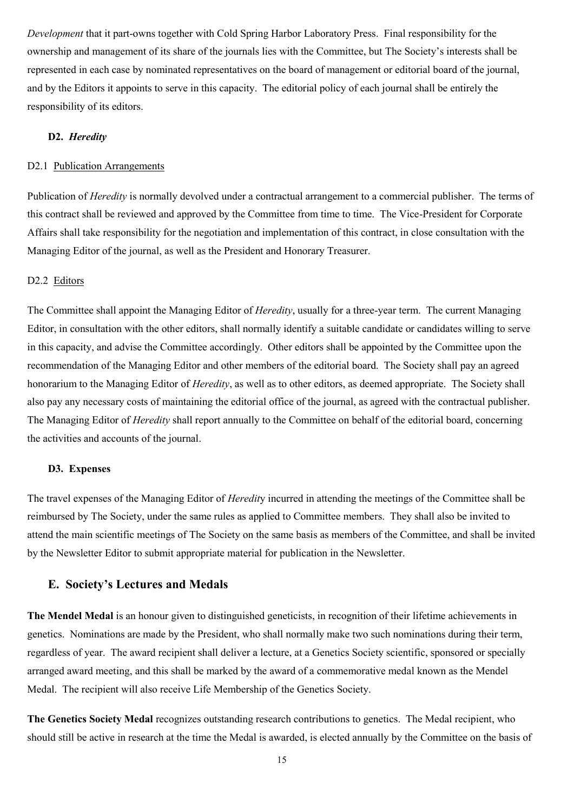*Development* that it part-owns together with Cold Spring Harbor Laboratory Press. Final responsibility for the ownership and management of its share of the journals lies with the Committee, but The Society's interests shall be represented in each case by nominated representatives on the board of management or editorial board of the journal, and by the Editors it appoints to serve in this capacity. The editorial policy of each journal shall be entirely the responsibility of its editors.

#### **D2.** *Heredity*

# D2.1 Publication Arrangements

Publication of *Heredity* is normally devolved under a contractual arrangement to a commercial publisher. The terms of this contract shall be reviewed and approved by the Committee from time to time. The Vice-President for Corporate Affairs shall take responsibility for the negotiation and implementation of this contract, in close consultation with the Managing Editor of the journal, as well as the President and Honorary Treasurer.

#### D2.2 Editors

The Committee shall appoint the Managing Editor of *Heredity*, usually for a three-year term. The current Managing Editor, in consultation with the other editors, shall normally identify a suitable candidate or candidates willing to serve in this capacity, and advise the Committee accordingly. Other editors shall be appointed by the Committee upon the recommendation of the Managing Editor and other members of the editorial board. The Society shall pay an agreed honorarium to the Managing Editor of *Heredity*, as well as to other editors, as deemed appropriate. The Society shall also pay any necessary costs of maintaining the editorial office of the journal, as agreed with the contractual publisher. The Managing Editor of *Heredity* shall report annually to the Committee on behalf of the editorial board, concerning the activities and accounts of the journal.

# **D3. Expenses**

The travel expenses of the Managing Editor of *Heredit*y incurred in attending the meetings of the Committee shall be reimbursed by The Society, under the same rules as applied to Committee members. They shall also be invited to attend the main scientific meetings of The Society on the same basis as members of the Committee, and shall be invited by the Newsletter Editor to submit appropriate material for publication in the Newsletter.

# **E. Society's Lectures and Medals**

**The Mendel Medal** is an honour given to distinguished geneticists, in recognition of their lifetime achievements in genetics. Nominations are made by the President, who shall normally make two such nominations during their term, regardless of year. The award recipient shall deliver a lecture, at a Genetics Society scientific, sponsored or specially arranged award meeting, and this shall be marked by the award of a commemorative medal known as the Mendel Medal. The recipient will also receive Life Membership of the Genetics Society.

**The Genetics Society Medal** recognizes outstanding research contributions to genetics. The Medal recipient, who should still be active in research at the time the Medal is awarded, is elected annually by the Committee on the basis of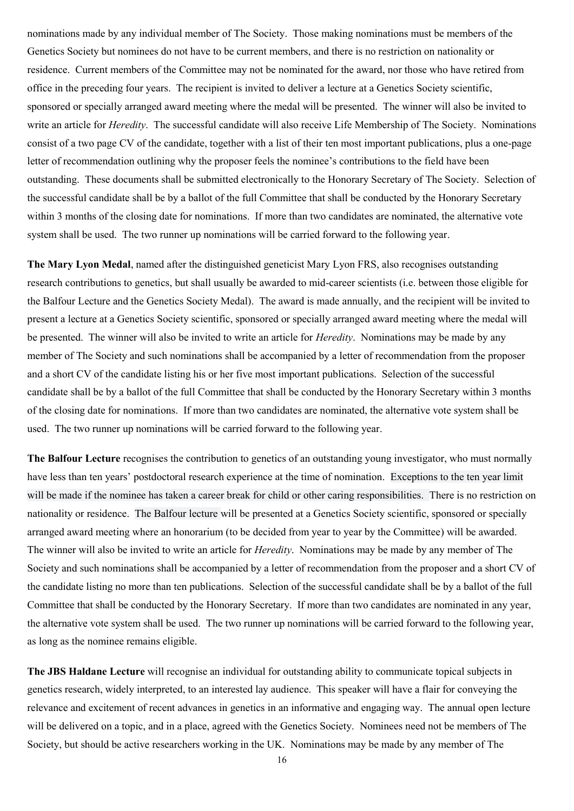nominations made by any individual member of The Society. Those making nominations must be members of the Genetics Society but nominees do not have to be current members, and there is no restriction on nationality or residence. Current members of the Committee may not be nominated for the award, nor those who have retired from office in the preceding four years. The recipient is invited to deliver a lecture at a Genetics Society scientific, sponsored or specially arranged award meeting where the medal will be presented. The winner will also be invited to write an article for *Heredity*. The successful candidate will also receive Life Membership of The Society. Nominations consist of a two page CV of the candidate, together with a list of their ten most important publications, plus a one-page letter of recommendation outlining why the proposer feels the nominee's contributions to the field have been outstanding. These documents shall be submitted electronically to the Honorary Secretary of The Society. Selection of the successful candidate shall be by a ballot of the full Committee that shall be conducted by the Honorary Secretary within 3 months of the closing date for nominations. If more than two candidates are nominated, the alternative vote system shall be used. The two runner up nominations will be carried forward to the following year.

**The Mary Lyon Medal**, named after the distinguished geneticist Mary Lyon FRS, also recognises outstanding research contributions to genetics, but shall usually be awarded to mid-career scientists (i.e. between those eligible for the Balfour Lecture and the Genetics Society Medal). The award is made annually, and the recipient will be invited to present a lecture at a Genetics Society scientific, sponsored or specially arranged award meeting where the medal will be presented. The winner will also be invited to write an article for *Heredity*. Nominations may be made by any member of The Society and such nominations shall be accompanied by a letter of recommendation from the proposer and a short CV of the candidate listing his or her five most important publications. Selection of the successful candidate shall be by a ballot of the full Committee that shall be conducted by the Honorary Secretary within 3 months of the closing date for nominations. If more than two candidates are nominated, the alternative vote system shall be used. The two runner up nominations will be carried forward to the following year.

**The Balfour Lecture** recognises the contribution to genetics of an outstanding young investigator, who must normally have less than ten years' postdoctoral research experience at the time of nomination. Exceptions to the ten year limit will be made if the nominee has taken a career break for child or other caring responsibilities. There is no restriction on nationality or residence. The Balfour lecture will be presented at a Genetics Society scientific, sponsored or specially arranged award meeting where an honorarium (to be decided from year to year by the Committee) will be awarded. The winner will also be invited to write an article for *Heredity*. Nominations may be made by any member of The Society and such nominations shall be accompanied by a letter of recommendation from the proposer and a short CV of the candidate listing no more than ten publications. Selection of the successful candidate shall be by a ballot of the full Committee that shall be conducted by the Honorary Secretary. If more than two candidates are nominated in any year, the alternative vote system shall be used. The two runner up nominations will be carried forward to the following year, as long as the nominee remains eligible.

**The JBS Haldane Lecture** will recognise an individual for outstanding ability to communicate topical subjects in genetics research, widely interpreted, to an interested lay audience. This speaker will have a flair for conveying the relevance and excitement of recent advances in genetics in an informative and engaging way. The annual open lecture will be delivered on a topic, and in a place, agreed with the Genetics Society. Nominees need not be members of The Society, but should be active researchers working in the UK. Nominations may be made by any member of The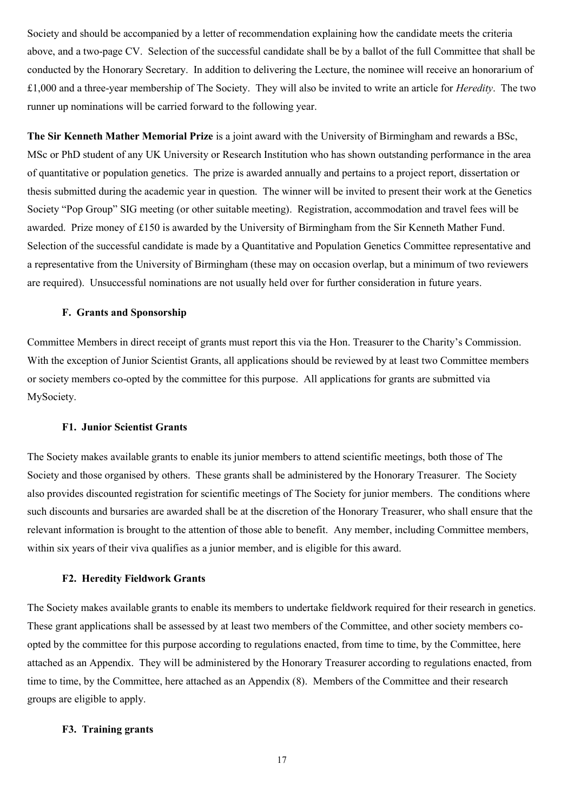Society and should be accompanied by a letter of recommendation explaining how the candidate meets the criteria above, and a two-page CV. Selection of the successful candidate shall be by a ballot of the full Committee that shall be conducted by the Honorary Secretary. In addition to delivering the Lecture, the nominee will receive an honorarium of £1,000 and a three-year membership of The Society. They will also be invited to write an article for *Heredity*. The two runner up nominations will be carried forward to the following year.

**The Sir Kenneth Mather Memorial Prize** is a joint award with the University of Birmingham and rewards a BSc, MSc or PhD student of any UK University or Research Institution who has shown outstanding performance in the area of quantitative or population genetics. The prize is awarded annually and pertains to a project report, dissertation or thesis submitted during the academic year in question. The winner will be invited to present their work at the Genetics Society "Pop Group" SIG meeting (or other suitable meeting). Registration, accommodation and travel fees will be awarded. Prize money of £150 is awarded by the University of Birmingham from the Sir Kenneth Mather Fund. Selection of the successful candidate is made by a Quantitative and Population Genetics Committee representative and a representative from the University of Birmingham (these may on occasion overlap, but a minimum of two reviewers are required). Unsuccessful nominations are not usually held over for further consideration in future years.

#### **F. Grants and Sponsorship**

Committee Members in direct receipt of grants must report this via the Hon. Treasurer to the Charity's Commission. With the exception of Junior Scientist Grants, all applications should be reviewed by at least two Committee members or society members co-opted by the committee for this purpose. All applications for grants are submitted via MySociety.

#### **F1. Junior Scientist Grants**

The Society makes available grants to enable its junior members to attend scientific meetings, both those of The Society and those organised by others. These grants shall be administered by the Honorary Treasurer. The Society also provides discounted registration for scientific meetings of The Society for junior members. The conditions where such discounts and bursaries are awarded shall be at the discretion of the Honorary Treasurer, who shall ensure that the relevant information is brought to the attention of those able to benefit. Any member, including Committee members, within six years of their viva qualifies as a junior member, and is eligible for this award.

#### **F2. Heredity Fieldwork Grants**

The Society makes available grants to enable its members to undertake fieldwork required for their research in genetics. These grant applications shall be assessed by at least two members of the Committee, and other society members coopted by the committee for this purpose according to regulations enacted, from time to time, by the Committee, here attached as an Appendix. They will be administered by the Honorary Treasurer according to regulations enacted, from time to time, by the Committee, here attached as an Appendix (8). Members of the Committee and their research groups are eligible to apply.

#### **F3. Training grants**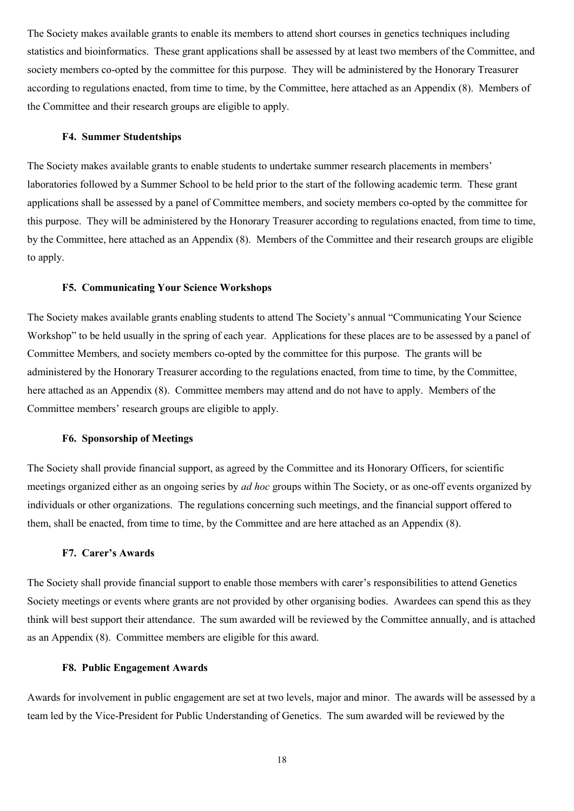The Society makes available grants to enable its members to attend short courses in genetics techniques including statistics and bioinformatics. These grant applications shall be assessed by at least two members of the Committee, and society members co-opted by the committee for this purpose. They will be administered by the Honorary Treasurer according to regulations enacted, from time to time, by the Committee, here attached as an Appendix (8). Members of the Committee and their research groups are eligible to apply.

#### **F4. Summer Studentships**

The Society makes available grants to enable students to undertake summer research placements in members' laboratories followed by a Summer School to be held prior to the start of the following academic term. These grant applications shall be assessed by a panel of Committee members, and society members co-opted by the committee for this purpose. They will be administered by the Honorary Treasurer according to regulations enacted, from time to time, by the Committee, here attached as an Appendix (8). Members of the Committee and their research groups are eligible to apply.

#### **F5. Communicating Your Science Workshops**

The Society makes available grants enabling students to attend The Society's annual "Communicating Your Science Workshop" to be held usually in the spring of each year. Applications for these places are to be assessed by a panel of Committee Members, and society members co-opted by the committee for this purpose. The grants will be administered by the Honorary Treasurer according to the regulations enacted, from time to time, by the Committee, here attached as an Appendix (8). Committee members may attend and do not have to apply. Members of the Committee members' research groups are eligible to apply.

## **F6. Sponsorship of Meetings**

The Society shall provide financial support, as agreed by the Committee and its Honorary Officers, for scientific meetings organized either as an ongoing series by *ad hoc* groups within The Society, or as one-off events organized by individuals or other organizations. The regulations concerning such meetings, and the financial support offered to them, shall be enacted, from time to time, by the Committee and are here attached as an Appendix (8).

#### **F7. Carer's Awards**

The Society shall provide financial support to enable those members with carer's responsibilities to attend Genetics Society meetings or events where grants are not provided by other organising bodies. Awardees can spend this as they think will best support their attendance. The sum awarded will be reviewed by the Committee annually, and is attached as an Appendix (8). Committee members are eligible for this award.

#### **F8. Public Engagement Awards**

Awards for involvement in public engagement are set at two levels, major and minor. The awards will be assessed by a team led by the Vice-President for Public Understanding of Genetics. The sum awarded will be reviewed by the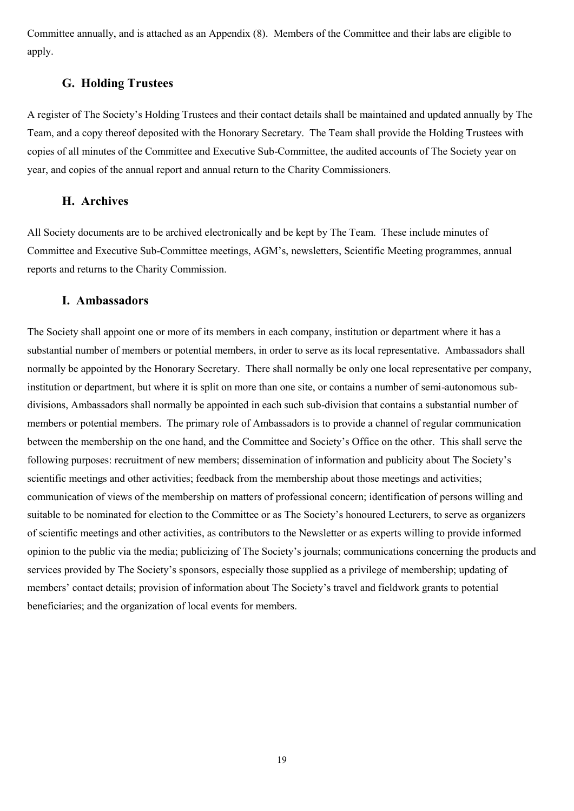Committee annually, and is attached as an Appendix (8). Members of the Committee and their labs are eligible to apply.

# **G. Holding Trustees**

A register of The Society's Holding Trustees and their contact details shall be maintained and updated annually by The Team, and a copy thereof deposited with the Honorary Secretary. The Team shall provide the Holding Trustees with copies of all minutes of the Committee and Executive Sub-Committee, the audited accounts of The Society year on year, and copies of the annual report and annual return to the Charity Commissioners.

# **H. Archives**

All Society documents are to be archived electronically and be kept by The Team. These include minutes of Committee and Executive Sub-Committee meetings, AGM's, newsletters, Scientific Meeting programmes, annual reports and returns to the Charity Commission.

# **I. Ambassadors**

The Society shall appoint one or more of its members in each company, institution or department where it has a substantial number of members or potential members, in order to serve as its local representative. Ambassadors shall normally be appointed by the Honorary Secretary. There shall normally be only one local representative per company, institution or department, but where it is split on more than one site, or contains a number of semi-autonomous subdivisions, Ambassadors shall normally be appointed in each such sub-division that contains a substantial number of members or potential members. The primary role of Ambassadors is to provide a channel of regular communication between the membership on the one hand, and the Committee and Society's Office on the other. This shall serve the following purposes: recruitment of new members; dissemination of information and publicity about The Society's scientific meetings and other activities; feedback from the membership about those meetings and activities; communication of views of the membership on matters of professional concern; identification of persons willing and suitable to be nominated for election to the Committee or as The Society's honoured Lecturers, to serve as organizers of scientific meetings and other activities, as contributors to the Newsletter or as experts willing to provide informed opinion to the public via the media; publicizing of The Society's journals; communications concerning the products and services provided by The Society's sponsors, especially those supplied as a privilege of membership; updating of members' contact details; provision of information about The Society's travel and fieldwork grants to potential beneficiaries; and the organization of local events for members.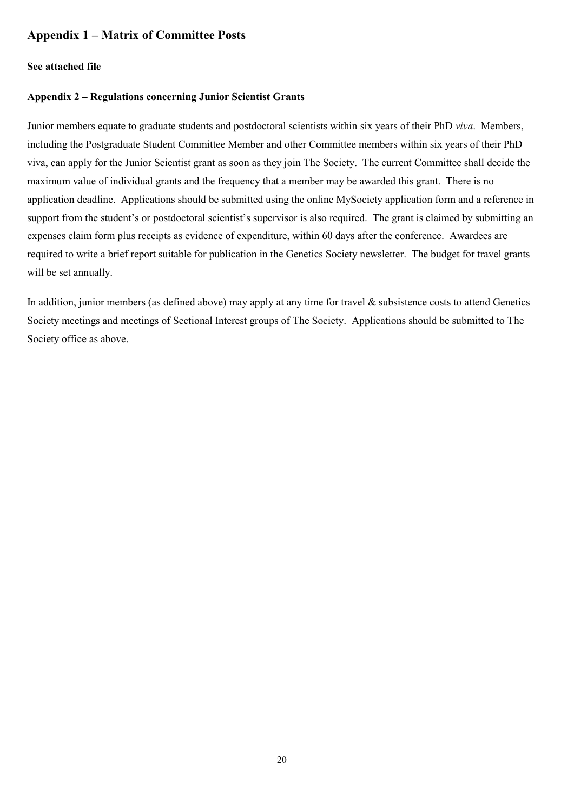# **Appendix 1 – Matrix of Committee Posts**

### **See attached file**

#### **Appendix 2 – Regulations concerning Junior Scientist Grants**

Junior members equate to graduate students and postdoctoral scientists within six years of their PhD *viva*. Members, including the Postgraduate Student Committee Member and other Committee members within six years of their PhD viva, can apply for the Junior Scientist grant as soon as they join The Society. The current Committee shall decide the maximum value of individual grants and the frequency that a member may be awarded this grant. There is no application deadline. Applications should be submitted using the online MySociety application form and a reference in support from the student's or postdoctoral scientist's supervisor is also required. The grant is claimed by submitting an expenses claim form plus receipts as evidence of expenditure, within 60 days after the conference. Awardees are required to write a brief report suitable for publication in the Genetics Society newsletter. The budget for travel grants will be set annually.

In addition, junior members (as defined above) may apply at any time for travel & subsistence costs to attend Genetics Society meetings and meetings of Sectional Interest groups of The Society. Applications should be submitted to The Society office as above.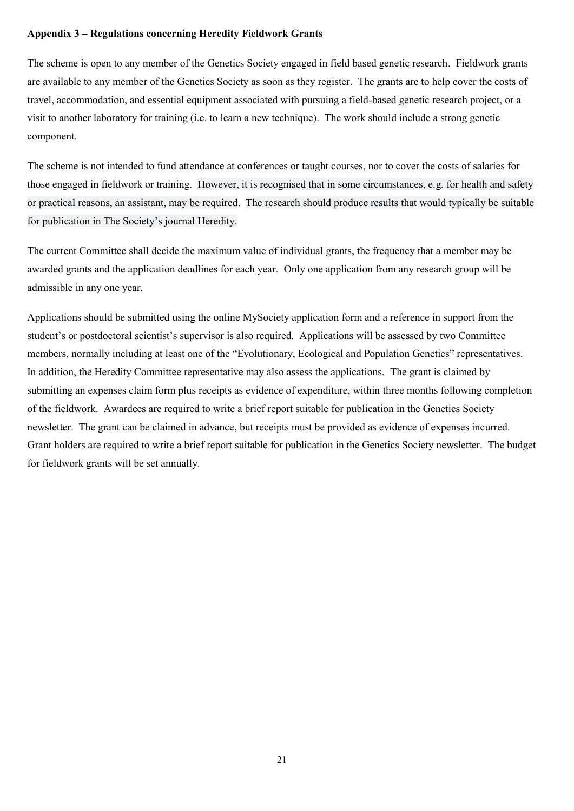# **Appendix 3 – Regulations concerning Heredity Fieldwork Grants**

The scheme is open to any member of the Genetics Society engaged in field based genetic research. Fieldwork grants are available to any member of the Genetics Society as soon as they register. The grants are to help cover the costs of travel, accommodation, and essential equipment associated with pursuing a field-based genetic research project, or a visit to another laboratory for training (i.e. to learn a new technique). The work should include a strong genetic component.

The scheme is not intended to fund attendance at conferences or taught courses, nor to cover the costs of salaries for those engaged in fieldwork or training. However, it is recognised that in some circumstances, e.g. for health and safety or practical reasons, an assistant, may be required. The research should produce results that would typically be suitable for publication in The Society's journal Heredity.

The current Committee shall decide the maximum value of individual grants, the frequency that a member may be awarded grants and the application deadlines for each year. Only one application from any research group will be admissible in any one year.

Applications should be submitted using the online MySociety application form and a reference in support from the student's or postdoctoral scientist's supervisor is also required. Applications will be assessed by two Committee members, normally including at least one of the "Evolutionary, Ecological and Population Genetics" representatives. In addition, the Heredity Committee representative may also assess the applications. The grant is claimed by submitting an expenses claim form plus receipts as evidence of expenditure, within three months following completion of the fieldwork. Awardees are required to write a brief report suitable for publication in the Genetics Society newsletter. The grant can be claimed in advance, but receipts must be provided as evidence of expenses incurred. Grant holders are required to write a brief report suitable for publication in the Genetics Society newsletter. The budget for fieldwork grants will be set annually.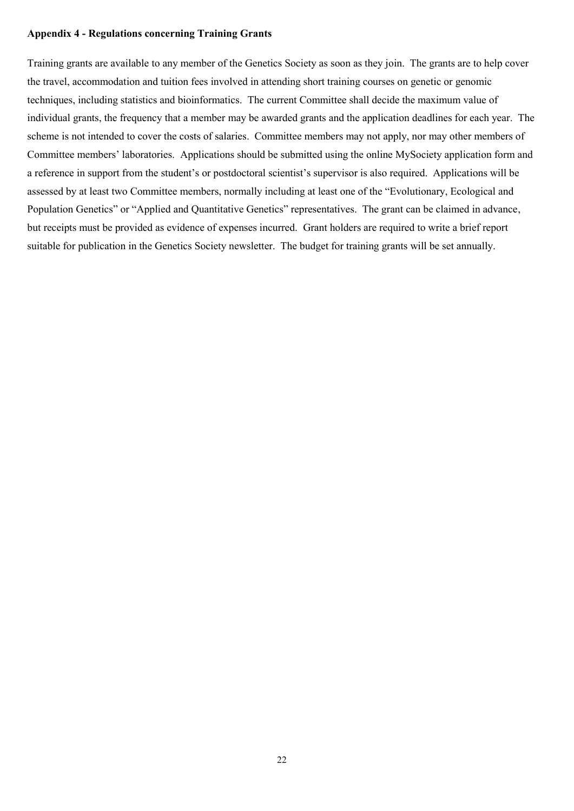## **Appendix 4 - Regulations concerning Training Grants**

Training grants are available to any member of the Genetics Society as soon as they join. The grants are to help cover the travel, accommodation and tuition fees involved in attending short training courses on genetic or genomic techniques, including statistics and bioinformatics. The current Committee shall decide the maximum value of individual grants, the frequency that a member may be awarded grants and the application deadlines for each year. The scheme is not intended to cover the costs of salaries. Committee members may not apply, nor may other members of Committee members' laboratories. Applications should be submitted using the online MySociety application form and a reference in support from the student's or postdoctoral scientist's supervisor is also required. Applications will be assessed by at least two Committee members, normally including at least one of the "Evolutionary, Ecological and Population Genetics" or "Applied and Quantitative Genetics" representatives. The grant can be claimed in advance, but receipts must be provided as evidence of expenses incurred. Grant holders are required to write a brief report suitable for publication in the Genetics Society newsletter. The budget for training grants will be set annually.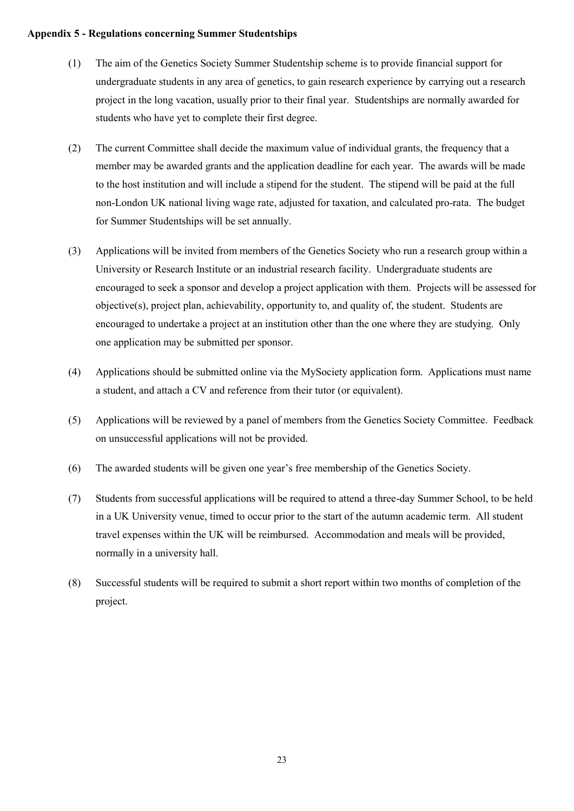# **Appendix 5 - Regulations concerning Summer Studentships**

- (1) The aim of the Genetics Society Summer Studentship scheme is to provide financial support for undergraduate students in any area of genetics, to gain research experience by carrying out a research project in the long vacation, usually prior to their final year. Studentships are normally awarded for students who have yet to complete their first degree.
- (2) The current Committee shall decide the maximum value of individual grants, the frequency that a member may be awarded grants and the application deadline for each year. The awards will be made to the host institution and will include a stipend for the student. The stipend will be paid at the full non-London UK national living wage rate, adjusted for taxation, and calculated pro-rata. The budget for Summer Studentships will be set annually.
- (3) Applications will be invited from members of the Genetics Society who run a research group within a University or Research Institute or an industrial research facility. Undergraduate students are encouraged to seek a sponsor and develop a project application with them. Projects will be assessed for objective(s), project plan, achievability, opportunity to, and quality of, the student. Students are encouraged to undertake a project at an institution other than the one where they are studying. Only one application may be submitted per sponsor.
- (4) Applications should be submitted online via the MySociety application form. Applications must name a student, and attach a CV and reference from their tutor (or equivalent).
- (5) Applications will be reviewed by a panel of members from the Genetics Society Committee. Feedback on unsuccessful applications will not be provided.
- (6) The awarded students will be given one year's free membership of the Genetics Society.
- (7) Students from successful applications will be required to attend a three-day Summer School, to be held in a UK University venue, timed to occur prior to the start of the autumn academic term. All student travel expenses within the UK will be reimbursed. Accommodation and meals will be provided, normally in a university hall.
- (8) Successful students will be required to submit a short report within two months of completion of the project.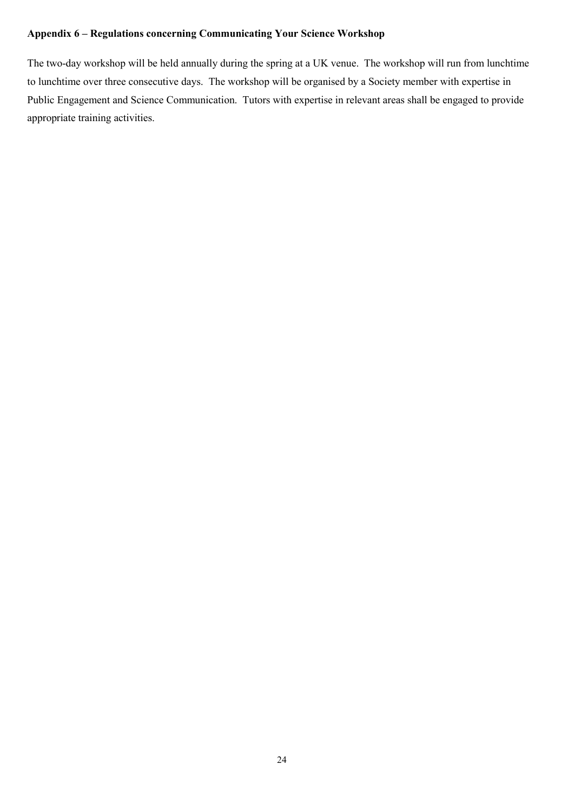# **Appendix 6 – Regulations concerning Communicating Your Science Workshop**

The two-day workshop will be held annually during the spring at a UK venue. The workshop will run from lunchtime to lunchtime over three consecutive days. The workshop will be organised by a Society member with expertise in Public Engagement and Science Communication. Tutors with expertise in relevant areas shall be engaged to provide appropriate training activities.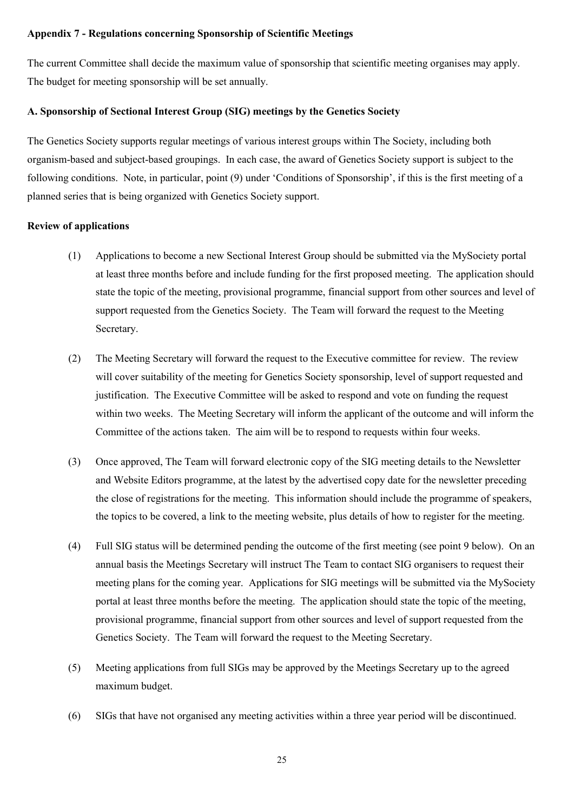### **Appendix 7 - Regulations concerning Sponsorship of Scientific Meetings**

The current Committee shall decide the maximum value of sponsorship that scientific meeting organises may apply. The budget for meeting sponsorship will be set annually.

# **A. Sponsorship of Sectional Interest Group (SIG) meetings by the Genetics Society**

The Genetics Society supports regular meetings of various interest groups within The Society, including both organism-based and subject-based groupings. In each case, the award of Genetics Society support is subject to the following conditions. Note, in particular, point (9) under 'Conditions of Sponsorship', if this is the first meeting of a planned series that is being organized with Genetics Society support.

## **Review of applications**

- (1) Applications to become a new Sectional Interest Group should be submitted via the MySociety portal at least three months before and include funding for the first proposed meeting. The application should state the topic of the meeting, provisional programme, financial support from other sources and level of support requested from the Genetics Society. The Team will forward the request to the Meeting Secretary.
- (2) The Meeting Secretary will forward the request to the Executive committee for review. The review will cover suitability of the meeting for Genetics Society sponsorship, level of support requested and justification. The Executive Committee will be asked to respond and vote on funding the request within two weeks. The Meeting Secretary will inform the applicant of the outcome and will inform the Committee of the actions taken. The aim will be to respond to requests within four weeks.
- (3) Once approved, The Team will forward electronic copy of the SIG meeting details to the Newsletter and Website Editors programme, at the latest by the advertised copy date for the newsletter preceding the close of registrations for the meeting. This information should include the programme of speakers, the topics to be covered, a link to the meeting website, plus details of how to register for the meeting.
- (4) Full SIG status will be determined pending the outcome of the first meeting (see point 9 below). On an annual basis the Meetings Secretary will instruct The Team to contact SIG organisers to request their meeting plans for the coming year. Applications for SIG meetings will be submitted via the MySociety portal at least three months before the meeting. The application should state the topic of the meeting, provisional programme, financial support from other sources and level of support requested from the Genetics Society. The Team will forward the request to the Meeting Secretary.
- (5) Meeting applications from full SIGs may be approved by the Meetings Secretary up to the agreed maximum budget.
- (6) SIGs that have not organised any meeting activities within a three year period will be discontinued.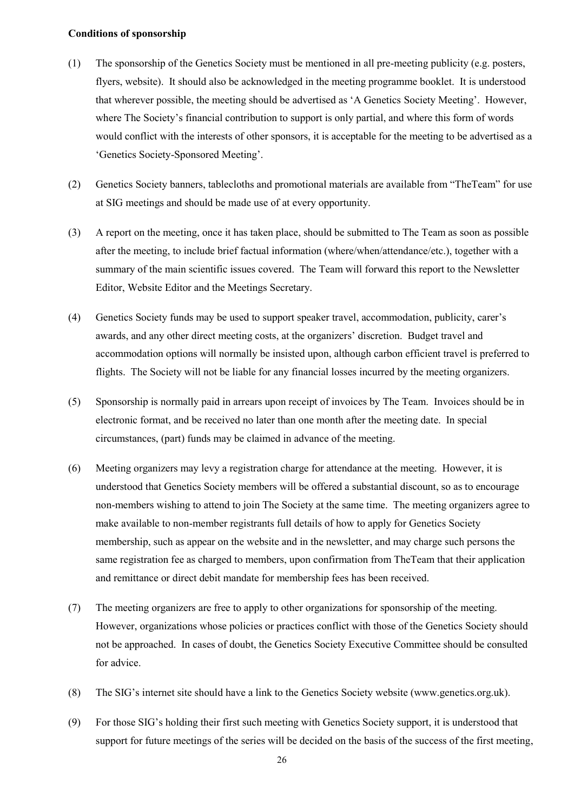### **Conditions of sponsorship**

- (1) The sponsorship of the Genetics Society must be mentioned in all pre-meeting publicity (e.g. posters, flyers, website). It should also be acknowledged in the meeting programme booklet. It is understood that wherever possible, the meeting should be advertised as 'A Genetics Society Meeting'. However, where The Society's financial contribution to support is only partial, and where this form of words would conflict with the interests of other sponsors, it is acceptable for the meeting to be advertised as a 'Genetics Society-Sponsored Meeting'.
- (2) Genetics Society banners, tablecloths and promotional materials are available from "TheTeam" for use at SIG meetings and should be made use of at every opportunity.
- (3) A report on the meeting, once it has taken place, should be submitted to The Team as soon as possible after the meeting, to include brief factual information (where/when/attendance/etc.), together with a summary of the main scientific issues covered. The Team will forward this report to the Newsletter Editor, Website Editor and the Meetings Secretary.
- (4) Genetics Society funds may be used to support speaker travel, accommodation, publicity, carer's awards, and any other direct meeting costs, at the organizers' discretion. Budget travel and accommodation options will normally be insisted upon, although carbon efficient travel is preferred to flights. The Society will not be liable for any financial losses incurred by the meeting organizers.
- (5) Sponsorship is normally paid in arrears upon receipt of invoices by The Team. Invoices should be in electronic format, and be received no later than one month after the meeting date. In special circumstances, (part) funds may be claimed in advance of the meeting.
- (6) Meeting organizers may levy a registration charge for attendance at the meeting. However, it is understood that Genetics Society members will be offered a substantial discount, so as to encourage non-members wishing to attend to join The Society at the same time. The meeting organizers agree to make available to non-member registrants full details of how to apply for Genetics Society membership, such as appear on the website and in the newsletter, and may charge such persons the same registration fee as charged to members, upon confirmation from TheTeam that their application and remittance or direct debit mandate for membership fees has been received.
- (7) The meeting organizers are free to apply to other organizations for sponsorship of the meeting. However, organizations whose policies or practices conflict with those of the Genetics Society should not be approached. In cases of doubt, the Genetics Society Executive Committee should be consulted for advice.
- (8) The SIG's internet site should have a link to the Genetics Society website (www.genetics.org.uk).
- (9) For those SIG's holding their first such meeting with Genetics Society support, it is understood that support for future meetings of the series will be decided on the basis of the success of the first meeting,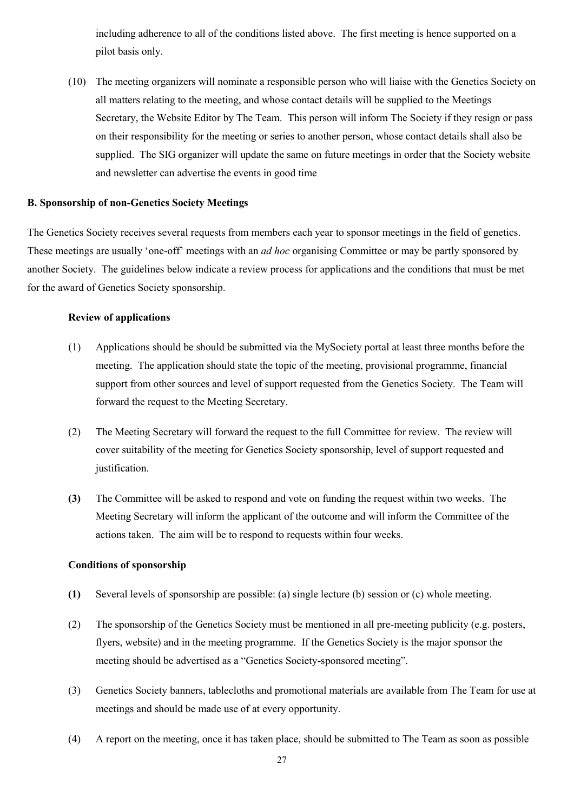including adherence to all of the conditions listed above. The first meeting is hence supported on a pilot basis only.

(10) The meeting organizers will nominate a responsible person who will liaise with the Genetics Society on all matters relating to the meeting, and whose contact details will be supplied to the Meetings Secretary, the Website Editor by The Team. This person will inform The Society if they resign or pass on their responsibility for the meeting or series to another person, whose contact details shall also be supplied. The SIG organizer will update the same on future meetings in order that the Society website and newsletter can advertise the events in good time

# **B. Sponsorship of non-Genetics Society Meetings**

The Genetics Society receives several requests from members each year to sponsor meetings in the field of genetics. These meetings are usually 'one-off' meetings with an *ad hoc* organising Committee or may be partly sponsored by another Society. The guidelines below indicate a review process for applications and the conditions that must be met for the award of Genetics Society sponsorship.

## **Review of applications**

- (1) Applications should be should be submitted via the MySociety portal at least three months before the meeting. The application should state the topic of the meeting, provisional programme, financial support from other sources and level of support requested from the Genetics Society. The Team will forward the request to the Meeting Secretary.
- (2) The Meeting Secretary will forward the request to the full Committee for review. The review will cover suitability of the meeting for Genetics Society sponsorship, level of support requested and justification.
- **(3)** The Committee will be asked to respond and vote on funding the request within two weeks. The Meeting Secretary will inform the applicant of the outcome and will inform the Committee of the actions taken. The aim will be to respond to requests within four weeks.

#### **Conditions of sponsorship**

- **(1)** Several levels of sponsorship are possible: (a) single lecture (b) session or (c) whole meeting.
- (2) The sponsorship of the Genetics Society must be mentioned in all pre-meeting publicity (e.g. posters, flyers, website) and in the meeting programme. If the Genetics Society is the major sponsor the meeting should be advertised as a "Genetics Society-sponsored meeting".
- (3) Genetics Society banners, tablecloths and promotional materials are available from The Team for use at meetings and should be made use of at every opportunity.
- (4) A report on the meeting, once it has taken place, should be submitted to The Team as soon as possible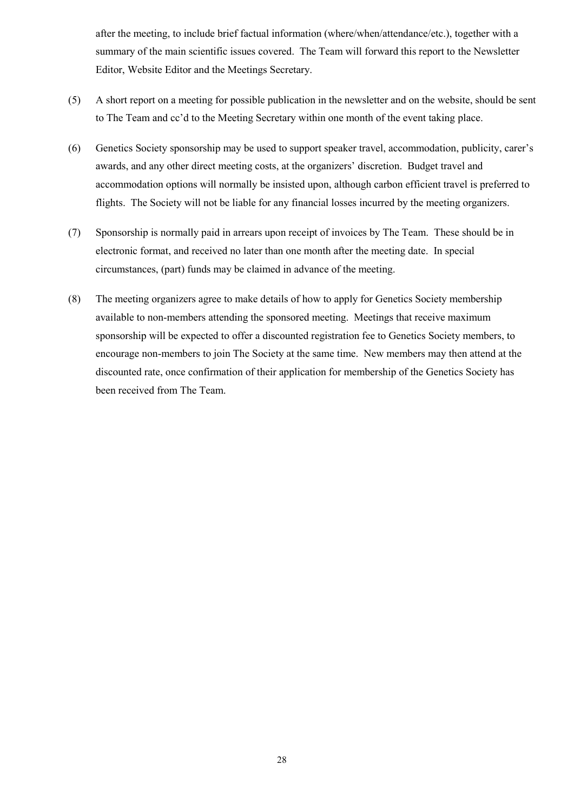after the meeting, to include brief factual information (where/when/attendance/etc.), together with a summary of the main scientific issues covered. The Team will forward this report to the Newsletter Editor, Website Editor and the Meetings Secretary.

- (5) A short report on a meeting for possible publication in the newsletter and on the website, should be sent to The Team and cc'd to the Meeting Secretary within one month of the event taking place.
- (6) Genetics Society sponsorship may be used to support speaker travel, accommodation, publicity, carer's awards, and any other direct meeting costs, at the organizers' discretion. Budget travel and accommodation options will normally be insisted upon, although carbon efficient travel is preferred to flights. The Society will not be liable for any financial losses incurred by the meeting organizers.
- (7) Sponsorship is normally paid in arrears upon receipt of invoices by The Team. These should be in electronic format, and received no later than one month after the meeting date. In special circumstances, (part) funds may be claimed in advance of the meeting.
- (8) The meeting organizers agree to make details of how to apply for Genetics Society membership available to non-members attending the sponsored meeting. Meetings that receive maximum sponsorship will be expected to offer a discounted registration fee to Genetics Society members, to encourage non-members to join The Society at the same time. New members may then attend at the discounted rate, once confirmation of their application for membership of the Genetics Society has been received from The Team.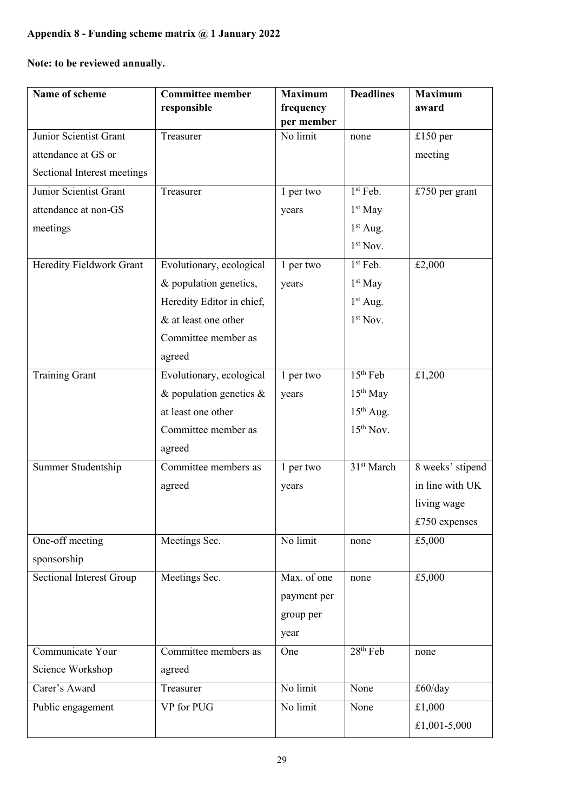# **Appendix 8 - Funding scheme matrix @ 1 January 2022**

**Note: to be reviewed annually.**

| Name of scheme                  | <b>Committee member</b>    | <b>Maximum</b> | <b>Deadlines</b>       | <b>Maximum</b>   |
|---------------------------------|----------------------------|----------------|------------------------|------------------|
|                                 | responsible                | frequency      |                        | award            |
|                                 |                            | per member     |                        |                  |
| Junior Scientist Grant          | Treasurer                  | No limit       | none                   | $£150$ per       |
| attendance at GS or             |                            |                |                        | meeting          |
| Sectional Interest meetings     |                            |                |                        |                  |
| Junior Scientist Grant          | Treasurer                  | 1 per two      | $1st$ Feb.             | £750 per grant   |
| attendance at non-GS            |                            | years          | $1st$ May              |                  |
| meetings                        |                            |                | $1st$ Aug.             |                  |
|                                 |                            |                | $1st$ Nov.             |                  |
| Heredity Fieldwork Grant        | Evolutionary, ecological   | 1 per two      | $1st$ Feb.             | £2,000           |
|                                 | & population genetics,     | years          | $1st$ May              |                  |
|                                 | Heredity Editor in chief,  |                | $1st$ Aug.             |                  |
|                                 | & at least one other       |                | $1st$ Nov.             |                  |
|                                 | Committee member as        |                |                        |                  |
|                                 | agreed                     |                |                        |                  |
| <b>Training Grant</b>           | Evolutionary, ecological   | 1 per two      | $15th$ Feb             | £1,200           |
|                                 | & population genetics $\&$ | years          | $15th$ May             |                  |
|                                 | at least one other         |                | $15th$ Aug.            |                  |
|                                 | Committee member as        |                | $15th$ Nov.            |                  |
|                                 | agreed                     |                |                        |                  |
| Summer Studentship              | Committee members as       | 1 per two      | 31 <sup>st</sup> March | 8 weeks' stipend |
|                                 | agreed                     | years          |                        | in line with UK  |
|                                 |                            |                |                        | living wage      |
|                                 |                            |                |                        | £750 expenses    |
| One-off meeting                 | Meetings Sec.              | No limit       | none                   | £5,000           |
| sponsorship                     |                            |                |                        |                  |
| <b>Sectional Interest Group</b> | Meetings Sec.              | Max. of one    | none                   | £5,000           |
|                                 |                            | payment per    |                        |                  |
|                                 |                            | group per      |                        |                  |
|                                 |                            | year           |                        |                  |
| Communicate Your                | Committee members as       | One            | 28 <sup>th</sup> Feb   | none             |
| Science Workshop                | agreed                     |                |                        |                  |
| Carer's Award                   | Treasurer                  | No limit       | None                   | £60/day          |
| Public engagement               | VP for PUG                 | No limit       | None                   | £1,000           |
|                                 |                            |                |                        | £1,001-5,000     |